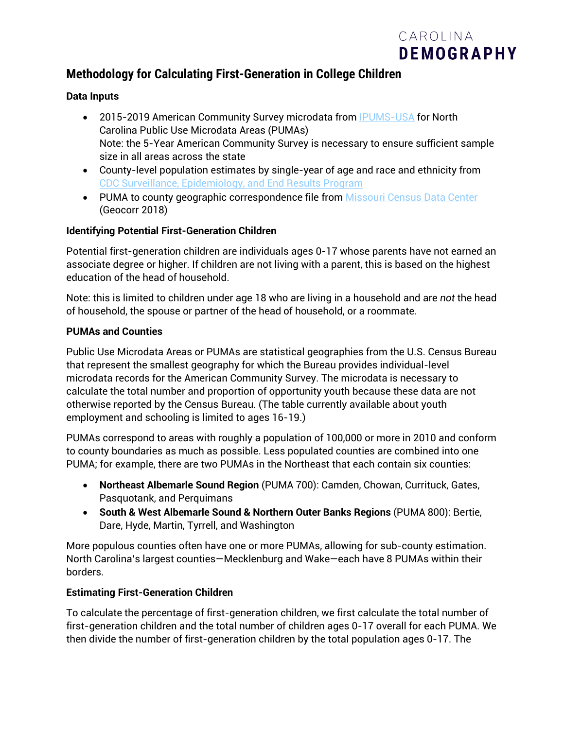

# **Methodology for Calculating First-Generation in College Children**

#### **Data Inputs**

- 2015-2019 American Community Survey microdata from [IPUMS-USA](https://usa.ipums.org/usa/) for North Carolina Public Use Microdata Areas (PUMAs) Note: the 5-Year American Community Survey is necessary to ensure sufficient sample size in all areas across the state
- County-level population estimates by single-year of age and race and ethnicity from [CDC Surveillance, Epidemiology, and End Results Program](https://seer.cancer.gov/popdata/)
- PUMA to county geographic correspondence file from [Missouri Census Data Center](https://mcdc.missouri.edu/applications/geocorr.html) (Geocorr 2018)

#### **Identifying Potential First-Generation Children**

Potential first-generation children are individuals ages 0-17 whose parents have not earned an associate degree or higher. If children are not living with a parent, this is based on the highest education of the head of household.

Note: this is limited to children under age 18 who are living in a household and are *not* the head of household, the spouse or partner of the head of household, or a roommate.

#### **PUMAs and Counties**

Public Use Microdata Areas or PUMAs are statistical geographies from the U.S. Census Bureau that represent the smallest geography for which the Bureau provides individual-level microdata records for the American Community Survey. The microdata is necessary to calculate the total number and proportion of opportunity youth because these data are not otherwise reported by the Census Bureau. (The table currently available about youth employment and schooling is limited to ages 16-19.)

PUMAs correspond to areas with roughly a population of 100,000 or more in 2010 and conform to county boundaries as much as possible. Less populated counties are combined into one PUMA; for example, there are two PUMAs in the Northeast that each contain six counties:

- **Northeast Albemarle Sound Region** (PUMA 700): Camden, Chowan, Currituck, Gates, Pasquotank, and Perquimans
- **South & West Albemarle Sound & Northern Outer Banks Regions** (PUMA 800): Bertie, Dare, Hyde, Martin, Tyrrell, and Washington

More populous counties often have one or more PUMAs, allowing for sub-county estimation. North Carolina's largest counties—Mecklenburg and Wake—each have 8 PUMAs within their borders.

#### **Estimating First-Generation Children**

To calculate the percentage of first-generation children, we first calculate the total number of first-generation children and the total number of children ages 0-17 overall for each PUMA. We then divide the number of first-generation children by the total population ages 0-17. The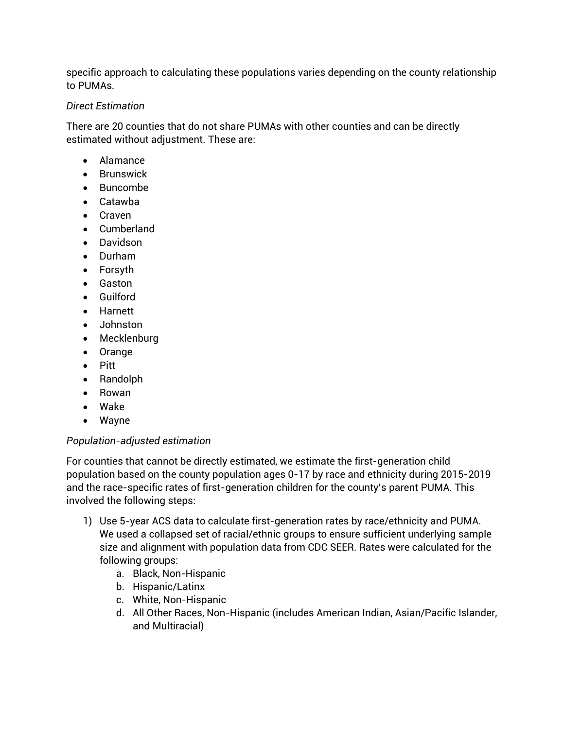specific approach to calculating these populations varies depending on the county relationship to PUMAs.

#### *Direct Estimation*

There are 20 counties that do not share PUMAs with other counties and can be directly estimated without adjustment. These are:

- Alamance
- Brunswick
- Buncombe
- Catawba
- Craven
- Cumberland
- Davidson
- Durham
- Forsyth
- Gaston
- Guilford
- Harnett
- Johnston
- Mecklenburg
- Orange
- Pitt
- Randolph
- Rowan
- Wake
- Wayne

### *Population-adjusted estimation*

For counties that cannot be directly estimated, we estimate the first-generation child population based on the county population ages 0-17 by race and ethnicity during 2015-2019 and the race-specific rates of first-generation children for the county's parent PUMA. This involved the following steps:

- 1) Use 5-year ACS data to calculate first-generation rates by race/ethnicity and PUMA. We used a collapsed set of racial/ethnic groups to ensure sufficient underlying sample size and alignment with population data from CDC SEER. Rates were calculated for the following groups:
	- a. Black, Non-Hispanic
	- b. Hispanic/Latinx
	- c. White, Non-Hispanic
	- d. All Other Races, Non-Hispanic (includes American Indian, Asian/Pacific Islander, and Multiracial)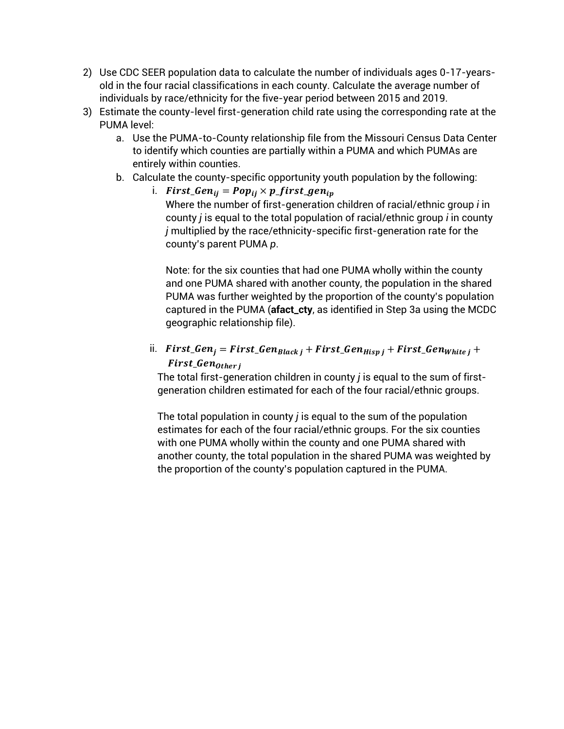- 2) Use CDC SEER population data to calculate the number of individuals ages 0-17-yearsold in the four racial classifications in each county. Calculate the average number of individuals by race/ethnicity for the five-year period between 2015 and 2019.
- 3) Estimate the county-level first-generation child rate using the corresponding rate at the PUMA level:
	- a. Use the PUMA-to-County relationship file from the Missouri Census Data Center to identify which counties are partially within a PUMA and which PUMAs are entirely within counties.
	- b. Calculate the county-specific opportunity youth population by the following:
		- i.  $First\_Gen_{ij} = Pop_{ij} \times p\_first\_gen_{ip}$ Where the number of first-generation children of racial/ethnic group *i* in county *j* is equal to the total population of racial/ethnic group *i* in county *j* multiplied by the race/ethnicity-specific first-generation rate for the county's parent PUMA *p*.

Note: for the six counties that had one PUMA wholly within the county and one PUMA shared with another county, the population in the shared PUMA was further weighted by the proportion of the county's population captured in the PUMA (**afact\_cty**, as identified in Step 3a using the MCDC geographic relationship file).

ii.  $First_{\text{I}}Gen_i = First_{\text{I}}Gen_{Black,i} + First_{\text{I}}Gen_{Hispi} + First_{\text{I}}Gen_{White,i} +$ First\_Gen<sub>Otheri</sub>

The total first-generation children in county *j* is equal to the sum of firstgeneration children estimated for each of the four racial/ethnic groups.

The total population in county *j* is equal to the sum of the population estimates for each of the four racial/ethnic groups. For the six counties with one PUMA wholly within the county and one PUMA shared with another county, the total population in the shared PUMA was weighted by the proportion of the county's population captured in the PUMA.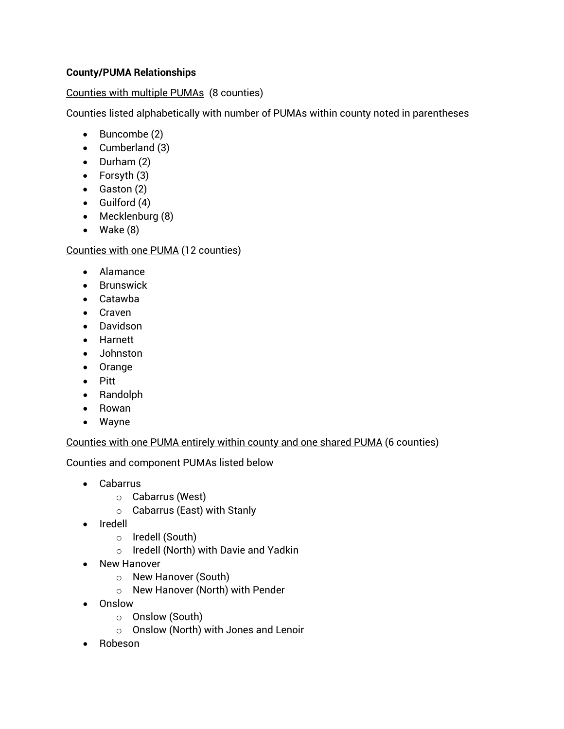## **County/PUMA Relationships**

## Counties with multiple PUMAs (8 counties)

Counties listed alphabetically with number of PUMAs within county noted in parentheses

- Buncombe (2)
- Cumberland (3)
- Durham (2)
- Forsyth (3)
- Gaston (2)
- Guilford (4)
- Mecklenburg (8)
- Wake (8)

## Counties with one PUMA (12 counties)

- Alamance
- Brunswick
- Catawba
- Craven
- Davidson
- Harnett
- Johnston
- Orange
- Pitt
- Randolph
- Rowan
- Wayne

### Counties with one PUMA entirely within county and one shared PUMA (6 counties)

Counties and component PUMAs listed below

- Cabarrus
	- o Cabarrus (West)
	- o Cabarrus (East) with Stanly
- Iredell
	- o Iredell (South)
	- o Iredell (North) with Davie and Yadkin
- New Hanover
	- o New Hanover (South)
	- o New Hanover (North) with Pender
- Onslow
	- o Onslow (South)
	- o Onslow (North) with Jones and Lenoir
- Robeson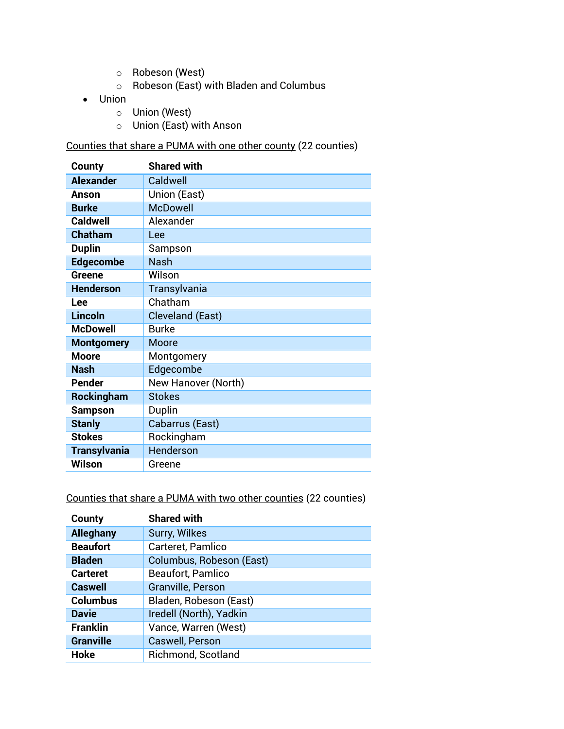- o Robeson (West)
- o Robeson (East) with Bladen and Columbus
- Union
	- o Union (West)
	- o Union (East) with Anson

Counties that share a PUMA with one other county (22 counties)

| County              | <b>Shared with</b>      |
|---------------------|-------------------------|
| <b>Alexander</b>    | Caldwell                |
| Anson               | Union (East)            |
| <b>Burke</b>        | <b>McDowell</b>         |
| <b>Caldwell</b>     | Alexander               |
| <b>Chatham</b>      | Lee                     |
| <b>Duplin</b>       | Sampson                 |
| <b>Edgecombe</b>    | <b>Nash</b>             |
| Greene              | Wilson                  |
| <b>Henderson</b>    | Transylvania            |
| Lee                 | Chatham                 |
| <b>Lincoln</b>      | <b>Cleveland (East)</b> |
| <b>McDowell</b>     | <b>Burke</b>            |
| <b>Montgomery</b>   | Moore                   |
| <b>Moore</b>        | Montgomery              |
| <b>Nash</b>         | Edgecombe               |
| <b>Pender</b>       | New Hanover (North)     |
| Rockingham          | <b>Stokes</b>           |
| <b>Sampson</b>      | Duplin                  |
| <b>Stanly</b>       | Cabarrus (East)         |
| <b>Stokes</b>       | Rockingham              |
| <b>Transylvania</b> | Henderson               |
| <b>Wilson</b>       | Greene                  |

Counties that share a PUMA with two other counties (22 counties)

| County           | <b>Shared with</b>        |
|------------------|---------------------------|
| <b>Alleghany</b> | Surry, Wilkes             |
| <b>Beaufort</b>  | Carteret, Pamlico         |
| <b>Bladen</b>    | Columbus, Robeson (East)  |
| <b>Carteret</b>  | Beaufort, Pamlico         |
| <b>Caswell</b>   | Granville, Person         |
| <b>Columbus</b>  | Bladen, Robeson (East)    |
| <b>Davie</b>     | Iredell (North), Yadkin   |
| <b>Franklin</b>  | Vance, Warren (West)      |
| <b>Granville</b> | Caswell, Person           |
| Hoke             | <b>Richmond, Scotland</b> |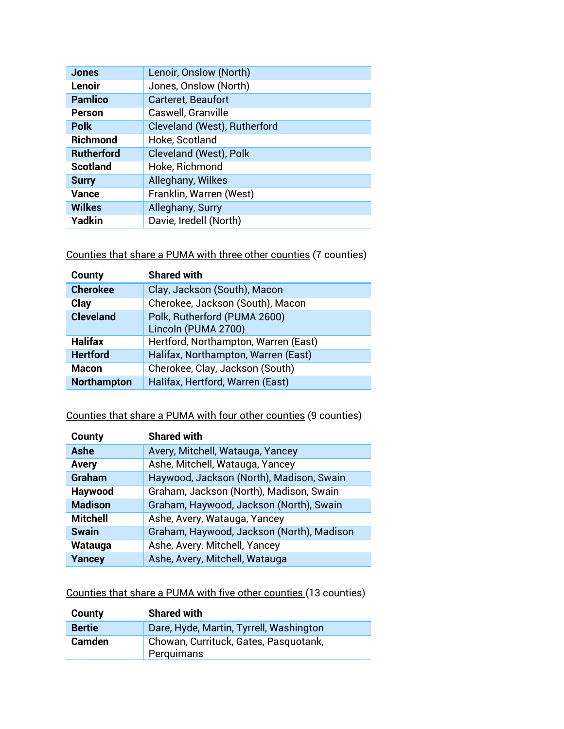| <b>Jones</b>      | Lenoir, Onslow (North)       |
|-------------------|------------------------------|
| Lenoir            | Jones, Onslow (North)        |
| <b>Pamlico</b>    | Carteret, Beaufort           |
| <b>Person</b>     | Caswell, Granville           |
| <b>Polk</b>       | Cleveland (West), Rutherford |
| <b>Richmond</b>   | Hoke, Scotland               |
| <b>Rutherford</b> | Cleveland (West), Polk       |
| <b>Scotland</b>   | Hoke, Richmond               |
| <b>Surry</b>      | Alleghany, Wilkes            |
| <b>Vance</b>      | Franklin, Warren (West)      |
| <b>Wilkes</b>     | Alleghany, Surry             |
| Yadkin            | Davie, Iredell (North)       |

Counties that share a PUMA with three other counties (7 counties)

| County             | <b>Shared with</b>                                  |
|--------------------|-----------------------------------------------------|
| <b>Cherokee</b>    | Clay, Jackson (South), Macon                        |
| Clay               | Cherokee, Jackson (South), Macon                    |
| <b>Cleveland</b>   | Polk, Rutherford (PUMA 2600)<br>Lincoln (PUMA 2700) |
| Halifax            | Hertford, Northampton, Warren (East)                |
| <b>Hertford</b>    | Halifax, Northampton, Warren (East)                 |
| <b>Macon</b>       | Cherokee, Clay, Jackson (South)                     |
| <b>Northampton</b> | Halifax, Hertford, Warren (East)                    |

# Counties that share a PUMA with four other counties (9 counties)

| County          | <b>Shared with</b>                        |
|-----------------|-------------------------------------------|
| Ashe            | Avery, Mitchell, Watauga, Yancey          |
| <b>Avery</b>    | Ashe, Mitchell, Watauga, Yancey           |
| <b>Graham</b>   | Haywood, Jackson (North), Madison, Swain  |
| Haywood         | Graham, Jackson (North), Madison, Swain   |
| <b>Madison</b>  | Graham, Haywood, Jackson (North), Swain   |
| <b>Mitchell</b> | Ashe, Avery, Watauga, Yancey              |
| <b>Swain</b>    | Graham, Haywood, Jackson (North), Madison |
| Watauga         | Ashe, Avery, Mitchell, Yancey             |
| Yancey          | Ashe, Avery, Mitchell, Watauga            |

Counties that share a PUMA with five other counties (13 counties)

| County        | <b>Shared with</b>                                  |
|---------------|-----------------------------------------------------|
| <b>Bertie</b> | Dare, Hyde, Martin, Tyrrell, Washington             |
| <b>Camden</b> | Chowan, Currituck, Gates, Pasquotank,<br>Perquimans |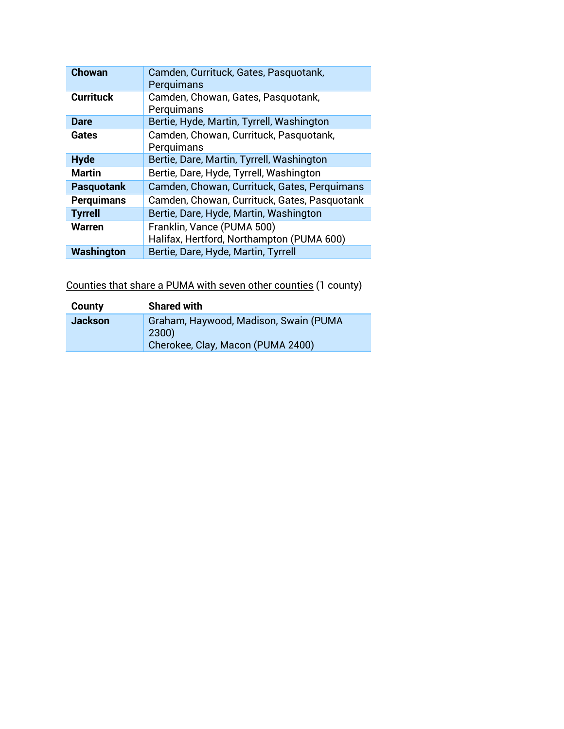| <b>Chowan</b>     | Camden, Currituck, Gates, Pasquotank,        |
|-------------------|----------------------------------------------|
|                   | Perquimans                                   |
| <b>Currituck</b>  | Camden, Chowan, Gates, Pasquotank,           |
|                   | Perquimans                                   |
| <b>Dare</b>       | Bertie, Hyde, Martin, Tyrrell, Washington    |
| Gates             | Camden, Chowan, Currituck, Pasquotank,       |
|                   | Perquimans                                   |
| <b>Hyde</b>       | Bertie, Dare, Martin, Tyrrell, Washington    |
| <b>Martin</b>     | Bertie, Dare, Hyde, Tyrrell, Washington      |
| <b>Pasquotank</b> | Camden, Chowan, Currituck, Gates, Perquimans |
| <b>Perquimans</b> | Camden, Chowan, Currituck, Gates, Pasquotank |
| <b>Tyrrell</b>    | Bertie, Dare, Hyde, Martin, Washington       |
| <b>Warren</b>     | Franklin, Vance (PUMA 500)                   |
|                   | Halifax, Hertford, Northampton (PUMA 600)    |
| Washington        | Bertie, Dare, Hyde, Martin, Tyrrell          |

Counties that share a PUMA with seven other counties (1 county)

| County         | <b>Shared with</b>                                                                  |
|----------------|-------------------------------------------------------------------------------------|
| <b>Jackson</b> | Graham, Haywood, Madison, Swain (PUMA<br>2300)<br>Cherokee, Clay, Macon (PUMA 2400) |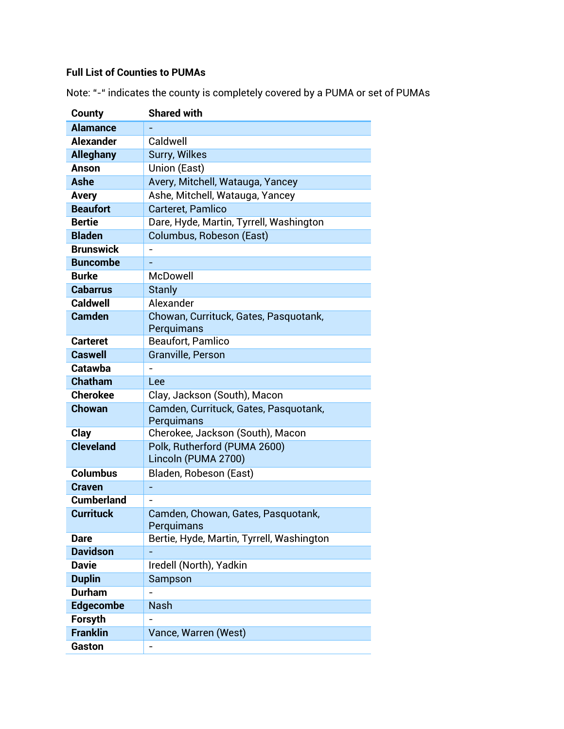## **Full List of Counties to PUMAs**

| <b>County</b>     | <b>Shared with</b>                                  |
|-------------------|-----------------------------------------------------|
| <b>Alamance</b>   |                                                     |
| <b>Alexander</b>  | Caldwell                                            |
| <b>Alleghany</b>  | <b>Surry, Wilkes</b>                                |
| <b>Anson</b>      | Union (East)                                        |
| Ashe              | Avery, Mitchell, Watauga, Yancey                    |
| <b>Avery</b>      | Ashe, Mitchell, Watauga, Yancey                     |
| <b>Beaufort</b>   | Carteret, Pamlico                                   |
| <b>Bertie</b>     | Dare, Hyde, Martin, Tyrrell, Washington             |
| <b>Bladen</b>     | Columbus, Robeson (East)                            |
| <b>Brunswick</b>  |                                                     |
| <b>Buncombe</b>   |                                                     |
| <b>Burke</b>      | <b>McDowell</b>                                     |
| <b>Cabarrus</b>   | <b>Stanly</b>                                       |
| <b>Caldwell</b>   | Alexander                                           |
| <b>Camden</b>     | Chowan, Currituck, Gates, Pasquotank,               |
|                   | Perquimans                                          |
| <b>Carteret</b>   | Beaufort, Pamlico                                   |
| <b>Caswell</b>    | <b>Granville, Person</b>                            |
| Catawba           |                                                     |
| <b>Chatham</b>    | Lee                                                 |
| <b>Cherokee</b>   | Clay, Jackson (South), Macon                        |
| <b>Chowan</b>     | Camden, Currituck, Gates, Pasquotank,<br>Perquimans |
| Clay              | Cherokee, Jackson (South), Macon                    |
| <b>Cleveland</b>  | Polk, Rutherford (PUMA 2600)                        |
|                   | Lincoln (PUMA 2700)                                 |
| <b>Columbus</b>   | Bladen, Robeson (East)                              |
| <b>Craven</b>     |                                                     |
| <b>Cumberland</b> |                                                     |
| <b>Currituck</b>  | Camden, Chowan, Gates, Pasquotank,                  |
|                   | Perquimans                                          |
| <b>Dare</b>       | Bertie, Hyde, Martin, Tyrrell, Washington           |
| <b>Davidson</b>   |                                                     |
| <b>Davie</b>      | Iredell (North), Yadkin                             |
| <b>Duplin</b>     | Sampson                                             |
| <b>Durham</b>     |                                                     |
| <b>Edgecombe</b>  | <b>Nash</b>                                         |
| Forsyth           |                                                     |
| <b>Franklin</b>   | Vance, Warren (West)                                |
| Gaston            |                                                     |

Note: "-" indicates the county is completely covered by a PUMA or set of PUMAs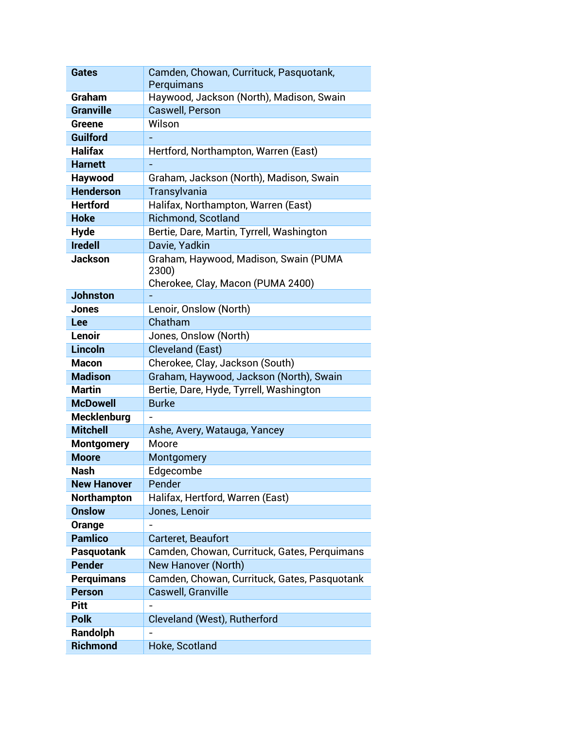| <b>Gates</b>                                                                                                                                     | Camden, Chowan, Currituck, Pasquotank,                                                                                                                                                                                                                                 |
|--------------------------------------------------------------------------------------------------------------------------------------------------|------------------------------------------------------------------------------------------------------------------------------------------------------------------------------------------------------------------------------------------------------------------------|
|                                                                                                                                                  | Perquimans                                                                                                                                                                                                                                                             |
| Graham                                                                                                                                           | Haywood, Jackson (North), Madison, Swain                                                                                                                                                                                                                               |
| <b>Granville</b>                                                                                                                                 | Caswell, Person                                                                                                                                                                                                                                                        |
| Greene                                                                                                                                           | Wilson                                                                                                                                                                                                                                                                 |
| <b>Guilford</b>                                                                                                                                  |                                                                                                                                                                                                                                                                        |
| <b>Halifax</b>                                                                                                                                   | Hertford, Northampton, Warren (East)                                                                                                                                                                                                                                   |
| <b>Harnett</b>                                                                                                                                   |                                                                                                                                                                                                                                                                        |
| Haywood                                                                                                                                          | Graham, Jackson (North), Madison, Swain                                                                                                                                                                                                                                |
| <b>Henderson</b>                                                                                                                                 | Transylvania                                                                                                                                                                                                                                                           |
| <b>Hertford</b>                                                                                                                                  | Halifax, Northampton, Warren (East)                                                                                                                                                                                                                                    |
| <b>Hoke</b>                                                                                                                                      | <b>Richmond, Scotland</b>                                                                                                                                                                                                                                              |
| <b>Hyde</b>                                                                                                                                      | Bertie, Dare, Martin, Tyrrell, Washington                                                                                                                                                                                                                              |
| <b>Iredell</b>                                                                                                                                   | Davie, Yadkin                                                                                                                                                                                                                                                          |
| <b>Jackson</b>                                                                                                                                   | Graham, Haywood, Madison, Swain (PUMA                                                                                                                                                                                                                                  |
|                                                                                                                                                  | 2300)                                                                                                                                                                                                                                                                  |
| <b>Johnston</b>                                                                                                                                  | Cherokee, Clay, Macon (PUMA 2400)                                                                                                                                                                                                                                      |
| Jones                                                                                                                                            | Lenoir, Onslow (North)                                                                                                                                                                                                                                                 |
| Lee                                                                                                                                              | Chatham                                                                                                                                                                                                                                                                |
| Lenoir                                                                                                                                           | Jones, Onslow (North)                                                                                                                                                                                                                                                  |
| <b>Lincoln</b>                                                                                                                                   | <b>Cleveland (East)</b>                                                                                                                                                                                                                                                |
| <b>Macon</b>                                                                                                                                     | Cherokee, Clay, Jackson (South)                                                                                                                                                                                                                                        |
| <b>Madison</b>                                                                                                                                   | Graham, Haywood, Jackson (North), Swain                                                                                                                                                                                                                                |
| <b>Martin</b>                                                                                                                                    | Bertie, Dare, Hyde, Tyrrell, Washington                                                                                                                                                                                                                                |
| <b>McDowell</b>                                                                                                                                  | <b>Burke</b>                                                                                                                                                                                                                                                           |
| <b>Mecklenburg</b>                                                                                                                               |                                                                                                                                                                                                                                                                        |
| <b>Mitchell</b>                                                                                                                                  | Ashe, Avery, Watauga, Yancey                                                                                                                                                                                                                                           |
| <b>Montgomery</b>                                                                                                                                | Moore                                                                                                                                                                                                                                                                  |
| <b>Moore</b>                                                                                                                                     | Montgomery                                                                                                                                                                                                                                                             |
| <b>Nash</b>                                                                                                                                      | Edgecombe                                                                                                                                                                                                                                                              |
| <b>New Hanover</b>                                                                                                                               | Pender                                                                                                                                                                                                                                                                 |
|                                                                                                                                                  |                                                                                                                                                                                                                                                                        |
|                                                                                                                                                  |                                                                                                                                                                                                                                                                        |
|                                                                                                                                                  |                                                                                                                                                                                                                                                                        |
|                                                                                                                                                  |                                                                                                                                                                                                                                                                        |
|                                                                                                                                                  |                                                                                                                                                                                                                                                                        |
|                                                                                                                                                  |                                                                                                                                                                                                                                                                        |
|                                                                                                                                                  |                                                                                                                                                                                                                                                                        |
|                                                                                                                                                  |                                                                                                                                                                                                                                                                        |
| <b>Pitt</b>                                                                                                                                      |                                                                                                                                                                                                                                                                        |
| <b>Polk</b>                                                                                                                                      |                                                                                                                                                                                                                                                                        |
|                                                                                                                                                  |                                                                                                                                                                                                                                                                        |
| <b>Richmond</b>                                                                                                                                  |                                                                                                                                                                                                                                                                        |
| <b>Northampton</b><br><b>Onslow</b><br>Orange<br><b>Pamlico</b><br>Pasquotank<br><b>Pender</b><br><b>Perquimans</b><br><b>Person</b><br>Randolph | Halifax, Hertford, Warren (East)<br>Jones, Lenoir<br>Carteret, Beaufort<br>Camden, Chowan, Currituck, Gates, Perquimans<br>New Hanover (North)<br>Camden, Chowan, Currituck, Gates, Pasquotank<br>Caswell, Granville<br>Cleveland (West), Rutherford<br>Hoke, Scotland |